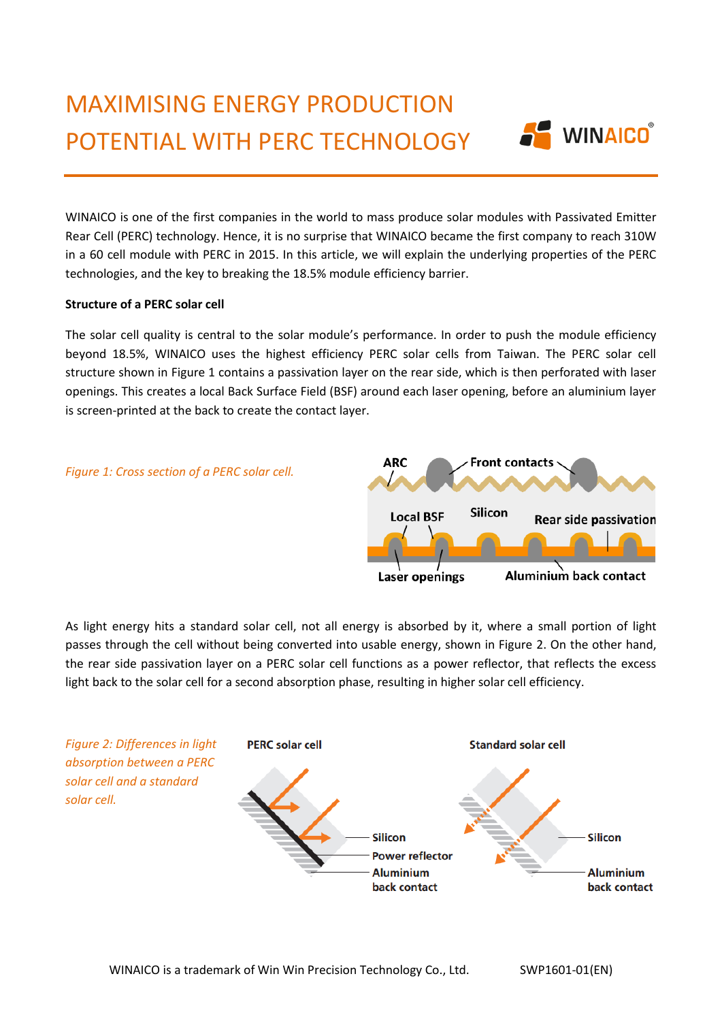

WINAICO is one of the first companies in the world to mass produce solar modules with Passivated Emitter Rear Cell (PERC) technology. Hence, it is no surprise that WINAICO became the first company to reach 310W in a 60 cell module with PERC in 2015. In this article, we will explain the underlying properties of the PERC technologies, and the key to breaking the 18.5% module efficiency barrier.

## **Structure of a PERC solar cell**

The solar cell quality is central to the solar module's performance. In order to push the module efficiency beyond 18.5%, WINAICO uses the highest efficiency PERC solar cells from Taiwan. The PERC solar cell structure shown in Figure 1 contains a passivation layer on the rear side, which is then perforated with laser openings. This creates a local Back Surface Field (BSF) around each laser opening, before an aluminium layer is screen-printed at the back to create the contact layer.

## *Figure 1: Cross section of a PERC solar cell.*



As light energy hits a standard solar cell, not all energy is absorbed by it, where a small portion of light passes through the cell without being converted into usable energy, shown in Figure 2. On the other hand, the rear side passivation layer on a PERC solar cell functions as a power reflector, that reflects the excess light back to the solar cell for a second absorption phase, resulting in higher solar cell efficiency.

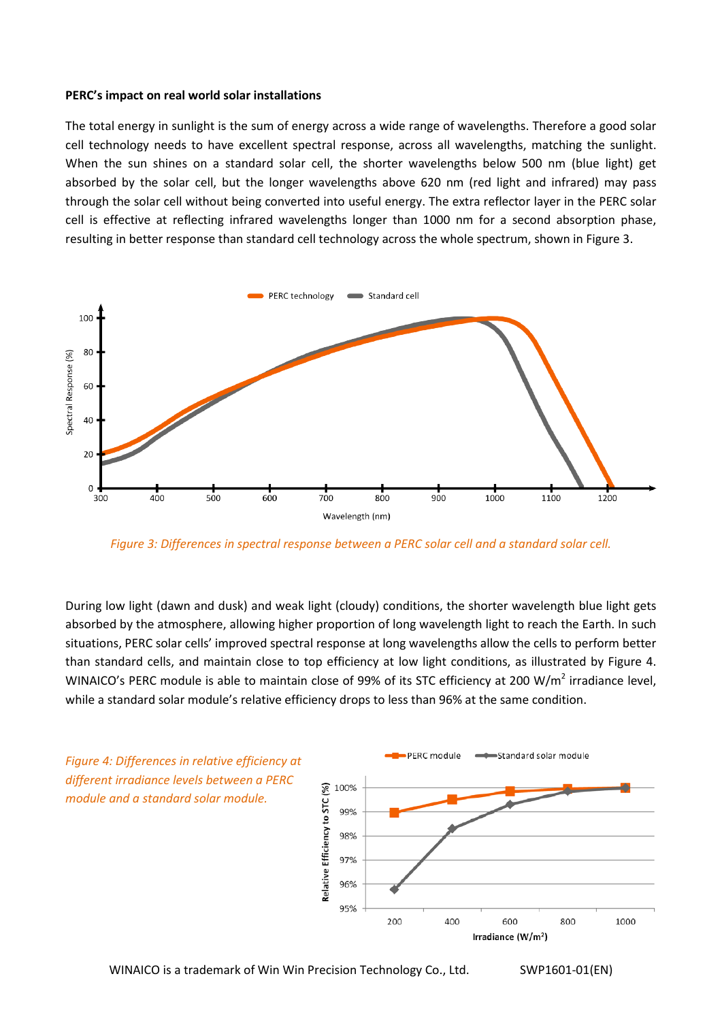## **PERC's impact on real world solar installations**

The total energy in sunlight is the sum of energy across a wide range of wavelengths. Therefore a good solar cell technology needs to have excellent spectral response, across all wavelengths, matching the sunlight. When the sun shines on a standard solar cell, the shorter wavelengths below 500 nm (blue light) get absorbed by the solar cell, but the longer wavelengths above 620 nm (red light and infrared) may pass through the solar cell without being converted into useful energy. The extra reflector layer in the PERC solar cell is effective at reflecting infrared wavelengths longer than 1000 nm for a second absorption phase, resulting in better response than standard cell technology across the whole spectrum, shown in Figure 3.



*Figure 3: Differences in spectral response between a PERC solar cell and a standard solar cell.*

During low light (dawn and dusk) and weak light (cloudy) conditions, the shorter wavelength blue light gets absorbed by the atmosphere, allowing higher proportion of long wavelength light to reach the Earth. In such situations, PERC solar cells' improved spectral response at long wavelengths allow the cells to perform better than standard cells, and maintain close to top efficiency at low light conditions, as illustrated by Figure 4. WINAICO's PERC module is able to maintain close of 99% of its STC efficiency at 200 W/m<sup>2</sup> irradiance level, while a standard solar module's relative efficiency drops to less than 96% at the same condition.



WINAICO is a trademark of Win Win Precision Technology Co., Ltd. SWP1601-01(EN)